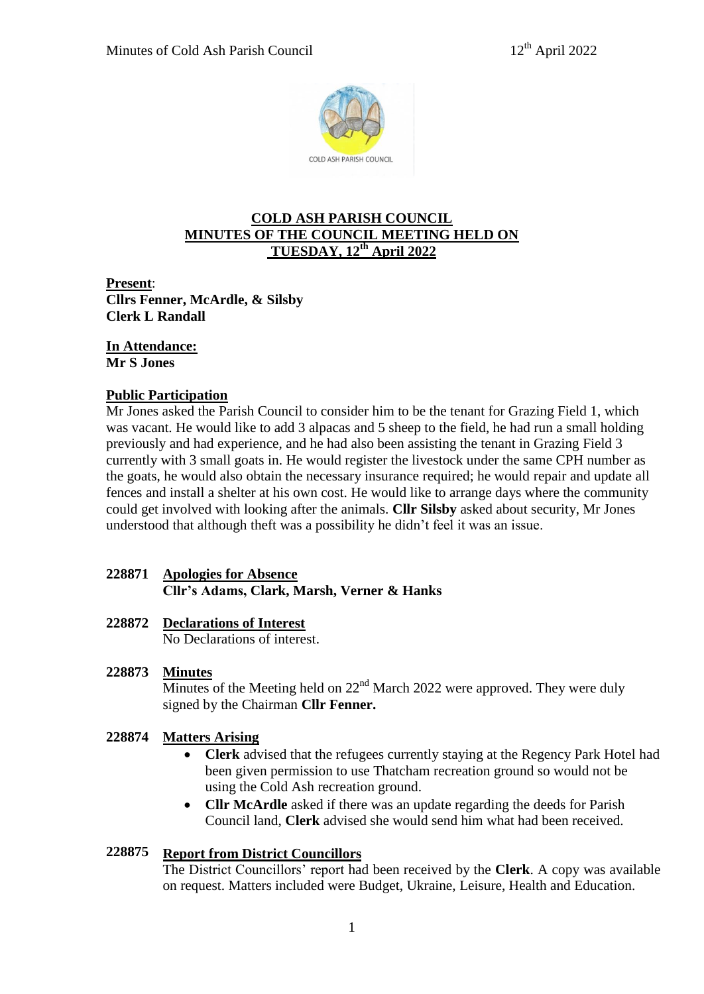

# **COLD ASH PARISH COUNCIL MINUTES OF THE COUNCIL MEETING HELD ON TUESDAY, 12th April 2022**

**Present**: **Cllrs Fenner, McArdle, & Silsby Clerk L Randall**

# **In Attendance:**

**Mr S Jones**

# **Public Participation**

Mr Jones asked the Parish Council to consider him to be the tenant for Grazing Field 1, which was vacant. He would like to add 3 alpacas and 5 sheep to the field, he had run a small holding previously and had experience, and he had also been assisting the tenant in Grazing Field 3 currently with 3 small goats in. He would register the livestock under the same CPH number as the goats, he would also obtain the necessary insurance required; he would repair and update all fences and install a shelter at his own cost. He would like to arrange days where the community could get involved with looking after the animals. **Cllr Silsby** asked about security, Mr Jones understood that although theft was a possibility he didn't feel it was an issue.

# **228871 Apologies for Absence Cllr's Adams, Clark, Marsh, Verner & Hanks**

# **228872 Declarations of Interest**

No Declarations of interest.

### **228873 Minutes**

Minutes of the Meeting held on  $22<sup>nd</sup>$  March 2022 were approved. They were duly signed by the Chairman **Cllr Fenner.**

#### **228874 Matters Arising**

- **Clerk** advised that the refugees currently staying at the Regency Park Hotel had been given permission to use Thatcham recreation ground so would not be using the Cold Ash recreation ground.
- **Cllr McArdle** asked if there was an update regarding the deeds for Parish Council land, **Clerk** advised she would send him what had been received.

#### **228875 Report from District Councillors**

The District Councillors' report had been received by the **Clerk**. A copy was available on request. Matters included were Budget, Ukraine, Leisure, Health and Education.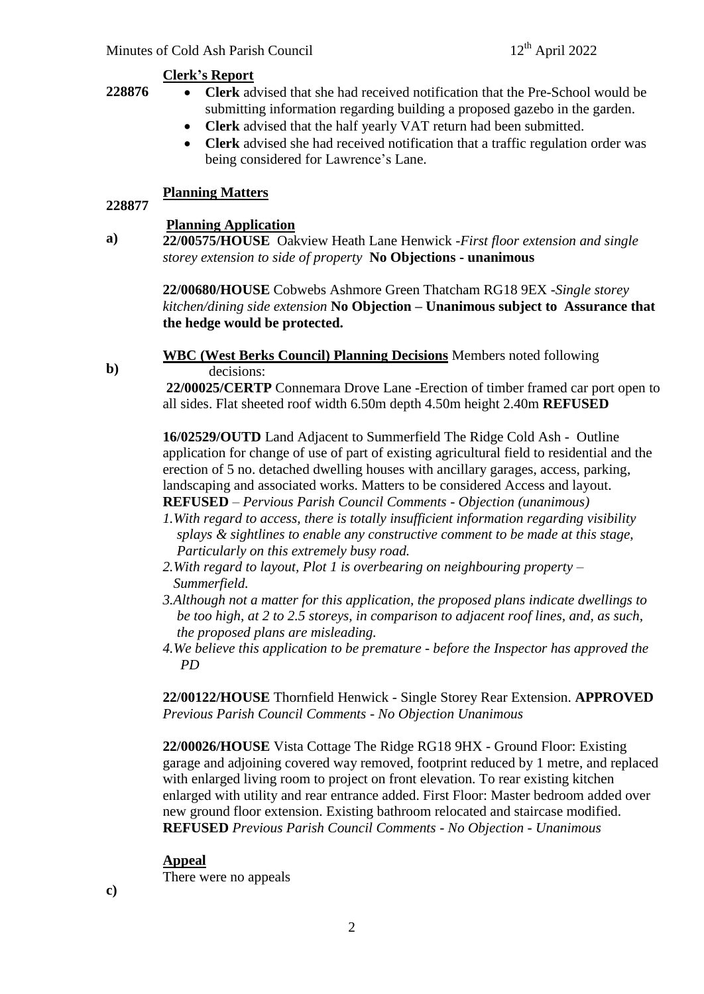## **Clerk's Report**

- **Clerk** advised that she had received notification that the Pre-School would be submitting information regarding building a proposed gazebo in the garden.
	- **Clerk** advised that the half yearly VAT return had been submitted.
	- **Clerk** advised she had received notification that a traffic regulation order was being considered for Lawrence's Lane.

# **Planning Matters**

# **228877**

**b)**

**228876**

# **Planning Application**

**22/00680/HOUSE** Cobwebs Ashmore Green Thatcham RG18 9EX -*Single storey kitchen/dining side extension* **No Objection – Unanimous subject to Assurance that the hedge would be protected.**

**WBC (West Berks Council) Planning Decisions** Members noted following decisions:

**22/00025/CERTP** Connemara Drove Lane -Erection of timber framed car port open to all sides. Flat sheeted roof width 6.50m depth 4.50m height 2.40m **REFUSED**

**16/02529/OUTD** Land Adjacent to Summerfield The Ridge Cold Ash - Outline application for change of use of part of existing agricultural field to residential and the erection of 5 no. detached dwelling houses with ancillary garages, access, parking, landscaping and associated works. Matters to be considered Access and layout. **REFUSED** – *Pervious Parish Council Comments - Objection (unanimous)*

- *1.With regard to access, there is totally insufficient information regarding visibility splays & sightlines to enable any constructive comment to be made at this stage, Particularly on this extremely busy road.*
- *2.With regard to layout, Plot 1 is overbearing on neighbouring property – Summerfield.*
- *3.Although not a matter for this application, the proposed plans indicate dwellings to be too high, at 2 to 2.5 storeys, in comparison to adjacent roof lines, and, as such, the proposed plans are misleading.*
- *4.We believe this application to be premature - before the Inspector has approved the PD*

**22/00122/HOUSE** Thornfield Henwick - Single Storey Rear Extension. **APPROVED**  *Previous Parish Council Comments - No Objection Unanimous*

**22/00026/HOUSE** Vista Cottage The Ridge RG18 9HX - Ground Floor: Existing garage and adjoining covered way removed, footprint reduced by 1 metre, and replaced with enlarged living room to project on front elevation. To rear existing kitchen enlarged with utility and rear entrance added. First Floor: Master bedroom added over new ground floor extension. Existing bathroom relocated and staircase modified. **REFUSED** *Previous Parish Council Comments - No Objection - Unanimous* 

# **Appeal**

There were no appeals

**c)**

**a) 22/00575/HOUSE** Oakview Heath Lane Henwick -*First floor extension and single storey extension to side of property* **No Objections - unanimous**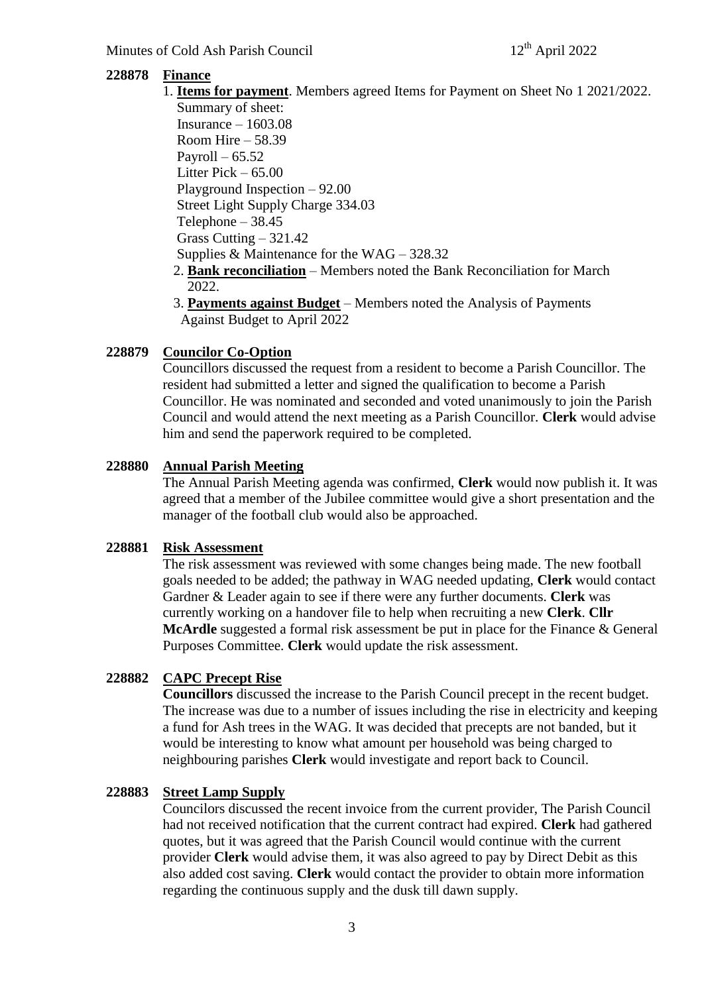#### **228878 Finance**

1. **Items for payment**. Members agreed Items for Payment on Sheet No 1 2021/2022. Summary of sheet:

Insurance  $-1603.08$  Room Hire – 58.39 Payroll  $-65.52$  Litter Pick – 65.00 Playground Inspection – 92.00 Street Light Supply Charge 334.03 Telephone  $-38.45$  Grass Cutting – 321.42 Supplies & Maintenance for the WAG – 328.32

- 2. **Bank reconciliation** Members noted the Bank Reconciliation for March 2022.
- 3. **Payments against Budget** Members noted the Analysis of Payments Against Budget to April 2022

#### **228879 Councilor Co-Option**

Councillors discussed the request from a resident to become a Parish Councillor. The resident had submitted a letter and signed the qualification to become a Parish Councillor. He was nominated and seconded and voted unanimously to join the Parish Council and would attend the next meeting as a Parish Councillor. **Clerk** would advise him and send the paperwork required to be completed.

#### **228880 Annual Parish Meeting**

The Annual Parish Meeting agenda was confirmed, **Clerk** would now publish it. It was agreed that a member of the Jubilee committee would give a short presentation and the manager of the football club would also be approached.

#### **228881 Risk Assessment**

The risk assessment was reviewed with some changes being made. The new football goals needed to be added; the pathway in WAG needed updating, **Clerk** would contact Gardner & Leader again to see if there were any further documents. **Clerk** was currently working on a handover file to help when recruiting a new **Clerk**. **Cllr McArdle** suggested a formal risk assessment be put in place for the Finance & General Purposes Committee. **Clerk** would update the risk assessment.

#### **228882 CAPC Precept Rise**

**Councillors** discussed the increase to the Parish Council precept in the recent budget. The increase was due to a number of issues including the rise in electricity and keeping a fund for Ash trees in the WAG. It was decided that precepts are not banded, but it would be interesting to know what amount per household was being charged to neighbouring parishes **Clerk** would investigate and report back to Council.

#### **228883 Street Lamp Supply**

Councilors discussed the recent invoice from the current provider, The Parish Council had not received notification that the current contract had expired. **Clerk** had gathered quotes, but it was agreed that the Parish Council would continue with the current provider **Clerk** would advise them, it was also agreed to pay by Direct Debit as this also added cost saving. **Clerk** would contact the provider to obtain more information regarding the continuous supply and the dusk till dawn supply.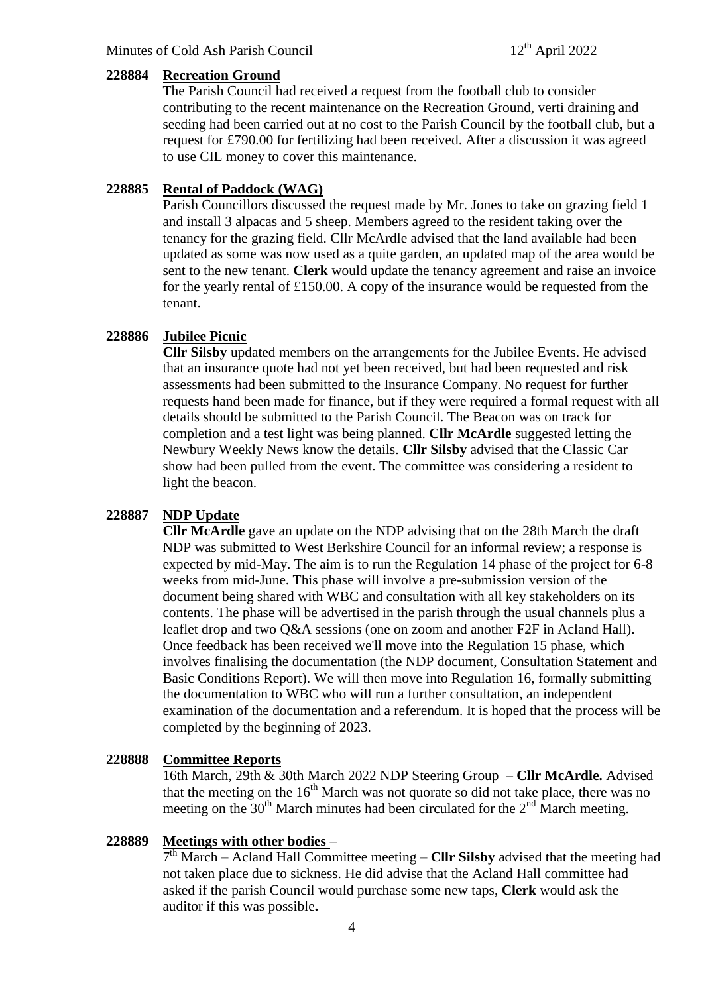#### **228884 Recreation Ground**

The Parish Council had received a request from the football club to consider contributing to the recent maintenance on the Recreation Ground, verti draining and seeding had been carried out at no cost to the Parish Council by the football club, but a request for £790.00 for fertilizing had been received. After a discussion it was agreed to use CIL money to cover this maintenance.

#### **228885 Rental of Paddock (WAG)**

Parish Councillors discussed the request made by Mr. Jones to take on grazing field 1 and install 3 alpacas and 5 sheep. Members agreed to the resident taking over the tenancy for the grazing field. Cllr McArdle advised that the land available had been updated as some was now used as a quite garden, an updated map of the area would be sent to the new tenant. **Clerk** would update the tenancy agreement and raise an invoice for the yearly rental of £150.00. A copy of the insurance would be requested from the tenant.

#### **228886 Jubilee Picnic**

**Cllr Silsby** updated members on the arrangements for the Jubilee Events. He advised that an insurance quote had not yet been received, but had been requested and risk assessments had been submitted to the Insurance Company. No request for further requests hand been made for finance, but if they were required a formal request with all details should be submitted to the Parish Council. The Beacon was on track for completion and a test light was being planned. **Cllr McArdle** suggested letting the Newbury Weekly News know the details. **Cllr Silsby** advised that the Classic Car show had been pulled from the event. The committee was considering a resident to light the beacon.

#### **228887 NDP Update**

**Cllr McArdle** gave an update on the NDP advising that on the 28th March the draft NDP was submitted to West Berkshire Council for an informal review; a response is expected by mid-May. The aim is to run the Regulation 14 phase of the project for 6-8 weeks from mid-June. This phase will involve a pre-submission version of the document being shared with WBC and consultation with all key stakeholders on its contents. The phase will be advertised in the parish through the usual channels plus a leaflet drop and two Q&A sessions (one on zoom and another F2F in Acland Hall). Once feedback has been received we'll move into the Regulation 15 phase, which involves finalising the documentation (the NDP document, Consultation Statement and Basic Conditions Report). We will then move into Regulation 16, formally submitting the documentation to WBC who will run a further consultation, an independent examination of the documentation and a referendum. It is hoped that the process will be completed by the beginning of 2023.

#### **228888 Committee Reports**

16th March, 29th & 30th March 2022 NDP Steering Group – **Cllr McArdle.** Advised that the meeting on the  $16<sup>th</sup>$  March was not quorate so did not take place, there was no meeting on the  $30<sup>th</sup>$  March minutes had been circulated for the  $2<sup>nd</sup>$  March meeting.

#### **228889 Meetings with other bodies** –

7 th March – Acland Hall Committee meeting – **Cllr Silsby** advised that the meeting had not taken place due to sickness. He did advise that the Acland Hall committee had asked if the parish Council would purchase some new taps, **Clerk** would ask the auditor if this was possible**.**